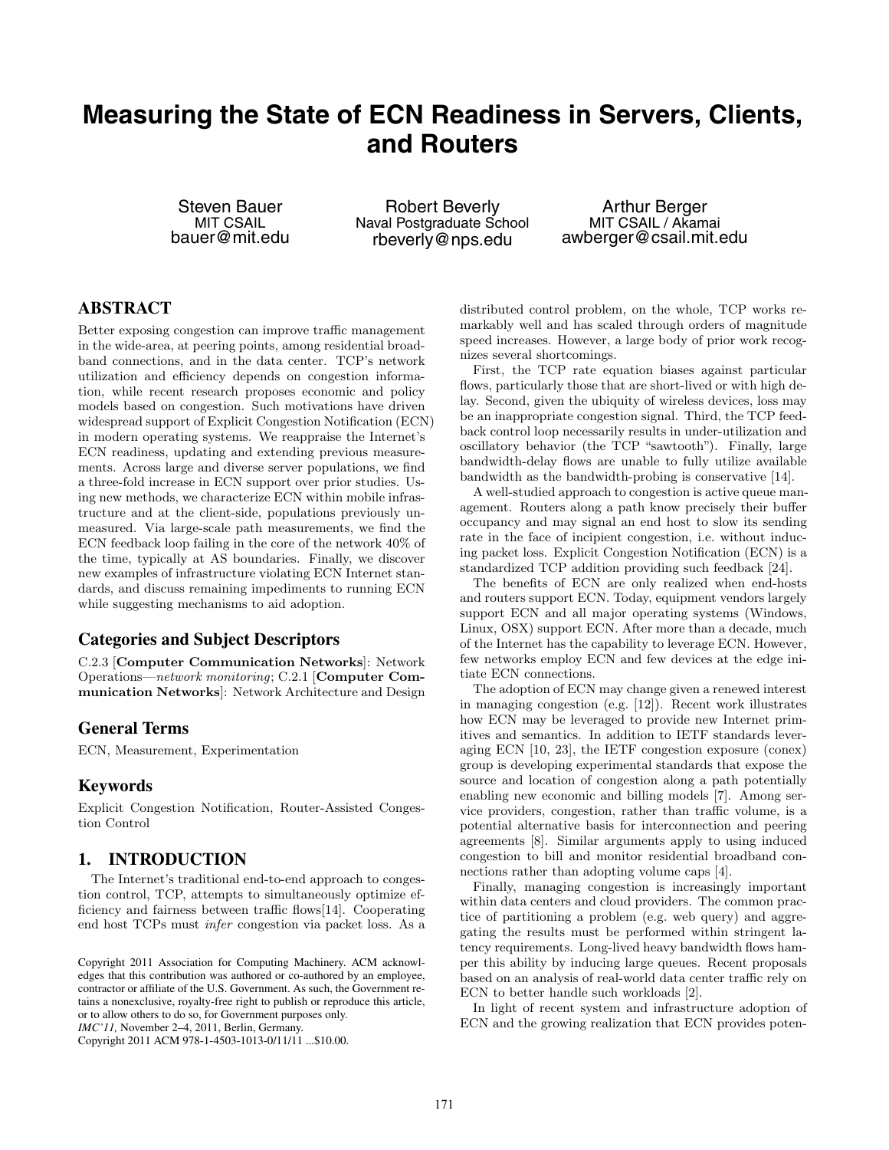## **Measuring the State of ECN Readiness in Servers, Clients, and Routers**

Steven Bauer MIT CSAIL bauer@mit.edu

Robert Beverly Naval Postgraduate School rbeverly@nps.edu

Arthur Berger MIT CSAIL / Akamai awberger@csail.mit.edu

## **ABSTRACT**

Better exposing congestion can improve traffic management in the wide-area, at peering points, among residential broadband connections, and in the data center. TCP's network utilization and efficiency depends on congestion information, while recent research proposes economic and policy models based on congestion. Such motivations have driven widespread support of Explicit Congestion Notification (ECN) in modern operating systems. We reappraise the Internet's ECN readiness, updating and extending previous measurements. Across large and diverse server populations, we find a three-fold increase in ECN support over prior studies. Using new methods, we characterize ECN within mobile infrastructure and at the client-side, populations previously unmeasured. Via large-scale path measurements, we find the ECN feedback loop failing in the core of the network 40% of the time, typically at AS boundaries. Finally, we discover new examples of infrastructure violating ECN Internet standards, and discuss remaining impediments to running ECN while suggesting mechanisms to aid adoption.

## **Categories and Subject Descriptors**

C.2.3 [**Computer Communication Networks**]: Network Operations—*network monitoring*; C.2.1 [**Computer Communication Networks**]: Network Architecture and Design

#### **General Terms**

ECN, Measurement, Experimentation

## **Keywords**

Explicit Congestion Notification, Router-Assisted Congestion Control

## **1. INTRODUCTION**

The Internet's traditional end-to-end approach to congestion control, TCP, attempts to simultaneously optimize efficiency and fairness between traffic flows[14]. Cooperating end host TCPs must *infer* congestion via packet loss. As a

Copyright 2011 ACM 978-1-4503-1013-0/11/11 ...\$10.00.

distributed control problem, on the whole, TCP works remarkably well and has scaled through orders of magnitude speed increases. However, a large body of prior work recognizes several shortcomings.

First, the TCP rate equation biases against particular flows, particularly those that are short-lived or with high delay. Second, given the ubiquity of wireless devices, loss may be an inappropriate congestion signal. Third, the TCP feedback control loop necessarily results in under-utilization and oscillatory behavior (the TCP "sawtooth"). Finally, large bandwidth-delay flows are unable to fully utilize available bandwidth as the bandwidth-probing is conservative [14].

A well-studied approach to congestion is active queue management. Routers along a path know precisely their buffer occupancy and may signal an end host to slow its sending rate in the face of incipient congestion, i.e. without inducing packet loss. Explicit Congestion Notification (ECN) is a standardized TCP addition providing such feedback [24].

The benefits of ECN are only realized when end-hosts and routers support ECN. Today, equipment vendors largely support ECN and all major operating systems (Windows, Linux, OSX) support ECN. After more than a decade, much of the Internet has the capability to leverage ECN. However, few networks employ ECN and few devices at the edge initiate ECN connections.

The adoption of ECN may change given a renewed interest in managing congestion (e.g. [12]). Recent work illustrates how ECN may be leveraged to provide new Internet primitives and semantics. In addition to IETF standards leveraging ECN [10, 23], the IETF congestion exposure (conex) group is developing experimental standards that expose the source and location of congestion along a path potentially enabling new economic and billing models [7]. Among service providers, congestion, rather than traffic volume, is a potential alternative basis for interconnection and peering agreements [8]. Similar arguments apply to using induced congestion to bill and monitor residential broadband connections rather than adopting volume caps [4].

Finally, managing congestion is increasingly important within data centers and cloud providers. The common practice of partitioning a problem (e.g. web query) and aggregating the results must be performed within stringent latency requirements. Long-lived heavy bandwidth flows hamper this ability by inducing large queues. Recent proposals based on an analysis of real-world data center traffic rely on ECN to better handle such workloads [2].

In light of recent system and infrastructure adoption of ECN and the growing realization that ECN provides poten-

Copyright 2011 Association for Computing Machinery. ACM acknowledges that this contribution was authored or co-authored by an employee, contractor or affiliate of the U.S. Government. As such, the Government retains a nonexclusive, royalty-free right to publish or reproduce this article, or to allow others to do so, for Government purposes only. *IMC'11,* November 2–4, 2011, Berlin, Germany.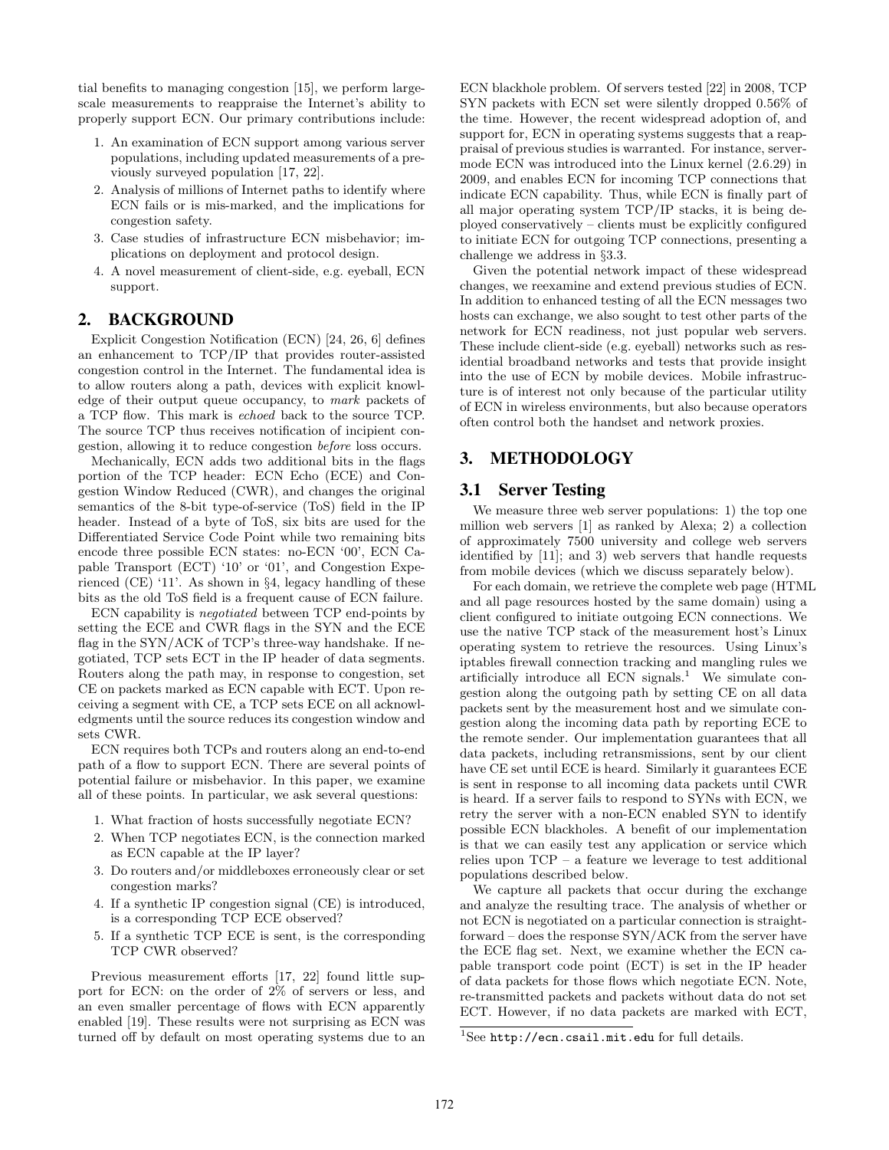tial benefits to managing congestion [15], we perform largescale measurements to reappraise the Internet's ability to properly support ECN. Our primary contributions include:

- 1. An examination of ECN support among various server populations, including updated measurements of a previously surveyed population [17, 22].
- 2. Analysis of millions of Internet paths to identify where ECN fails or is mis-marked, and the implications for congestion safety.
- 3. Case studies of infrastructure ECN misbehavior; implications on deployment and protocol design.
- 4. A novel measurement of client-side, e.g. eyeball, ECN support.

## **2. BACKGROUND**

Explicit Congestion Notification (ECN) [24, 26, 6] defines an enhancement to TCP/IP that provides router-assisted congestion control in the Internet. The fundamental idea is to allow routers along a path, devices with explicit knowledge of their output queue occupancy, to *mark* packets of a TCP flow. This mark is *echoed* back to the source TCP. The source TCP thus receives notification of incipient congestion, allowing it to reduce congestion *before* loss occurs.

Mechanically, ECN adds two additional bits in the flags portion of the TCP header: ECN Echo (ECE) and Congestion Window Reduced (CWR), and changes the original semantics of the 8-bit type-of-service (ToS) field in the IP header. Instead of a byte of ToS, six bits are used for the Differentiated Service Code Point while two remaining bits encode three possible ECN states: no-ECN '00', ECN Capable Transport (ECT) '10' or '01', and Congestion Experienced (CE) '11'. As shown in §4, legacy handling of these bits as the old ToS field is a frequent cause of ECN failure.

ECN capability is *negotiated* between TCP end-points by setting the ECE and CWR flags in the SYN and the ECE flag in the SYN/ACK of TCP's three-way handshake. If negotiated, TCP sets ECT in the IP header of data segments. Routers along the path may, in response to congestion, set CE on packets marked as ECN capable with ECT. Upon receiving a segment with CE, a TCP sets ECE on all acknowledgments until the source reduces its congestion window and sets CWR.

ECN requires both TCPs and routers along an end-to-end path of a flow to support ECN. There are several points of potential failure or misbehavior. In this paper, we examine all of these points. In particular, we ask several questions:

- 1. What fraction of hosts successfully negotiate ECN?
- 2. When TCP negotiates ECN, is the connection marked as ECN capable at the IP layer?
- 3. Do routers and/or middleboxes erroneously clear or set congestion marks?
- 4. If a synthetic IP congestion signal (CE) is introduced, is a corresponding TCP ECE observed?
- 5. If a synthetic TCP ECE is sent, is the corresponding TCP CWR observed?

Previous measurement efforts [17, 22] found little support for ECN: on the order of 2% of servers or less, and an even smaller percentage of flows with ECN apparently enabled [19]. These results were not surprising as ECN was turned off by default on most operating systems due to an ECN blackhole problem. Of servers tested [22] in 2008, TCP SYN packets with ECN set were silently dropped 0.56% of the time. However, the recent widespread adoption of, and support for, ECN in operating systems suggests that a reappraisal of previous studies is warranted. For instance, servermode ECN was introduced into the Linux kernel (2.6.29) in 2009, and enables ECN for incoming TCP connections that indicate ECN capability. Thus, while ECN is finally part of all major operating system TCP/IP stacks, it is being deployed conservatively – clients must be explicitly configured to initiate ECN for outgoing TCP connections, presenting a challenge we address in §3.3.

Given the potential network impact of these widespread changes, we reexamine and extend previous studies of ECN. In addition to enhanced testing of all the ECN messages two hosts can exchange, we also sought to test other parts of the network for ECN readiness, not just popular web servers. These include client-side (e.g. eyeball) networks such as residential broadband networks and tests that provide insight into the use of ECN by mobile devices. Mobile infrastructure is of interest not only because of the particular utility of ECN in wireless environments, but also because operators often control both the handset and network proxies.

## **3. METHODOLOGY**

#### **3.1 Server Testing**

We measure three web server populations: 1) the top one million web servers [1] as ranked by Alexa; 2) a collection of approximately 7500 university and college web servers identified by [11]; and 3) web servers that handle requests from mobile devices (which we discuss separately below).

For each domain, we retrieve the complete web page (HTML and all page resources hosted by the same domain) using a client configured to initiate outgoing ECN connections. We use the native TCP stack of the measurement host's Linux operating system to retrieve the resources. Using Linux's iptables firewall connection tracking and mangling rules we artificially introduce all ECN signals.<sup>1</sup> We simulate congestion along the outgoing path by setting CE on all data packets sent by the measurement host and we simulate congestion along the incoming data path by reporting ECE to the remote sender. Our implementation guarantees that all data packets, including retransmissions, sent by our client have CE set until ECE is heard. Similarly it guarantees ECE is sent in response to all incoming data packets until CWR is heard. If a server fails to respond to SYNs with ECN, we retry the server with a non-ECN enabled SYN to identify possible ECN blackholes. A benefit of our implementation is that we can easily test any application or service which relies upon TCP – a feature we leverage to test additional populations described below.

We capture all packets that occur during the exchange and analyze the resulting trace. The analysis of whether or not ECN is negotiated on a particular connection is straightforward – does the response SYN/ACK from the server have the ECE flag set. Next, we examine whether the ECN capable transport code point (ECT) is set in the IP header of data packets for those flows which negotiate ECN. Note, re-transmitted packets and packets without data do not set ECT. However, if no data packets are marked with ECT,

 $1$ See http://ecn.csail.mit.edu for full details.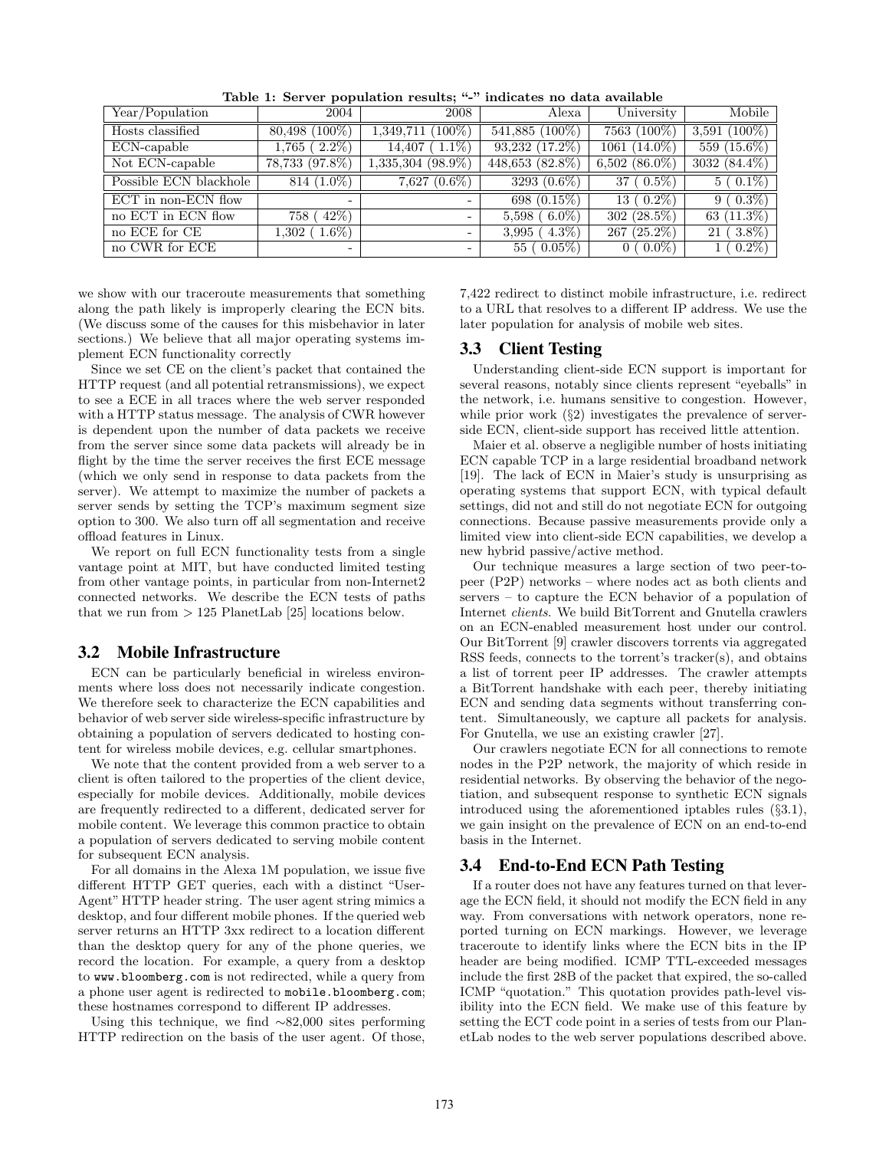| Year/Population        | 2004                     | 2008                     | Alexa               | University         | Mobile                 |
|------------------------|--------------------------|--------------------------|---------------------|--------------------|------------------------|
| Hosts classified       | $(100\%)$<br>80,498 (    | $(100\%)$<br>1,349,711   | 541,885 (100%)      | 7563 (100\%)       | $(100\%)$<br>$3,591$ ( |
| ECN-capable            | $2.2\%$ )<br>$1,765$ (   | $(1.1\%)$<br>14,407      | $93,232$ $(17.2\%)$ | $1061 (14.0\%)$    | $559(15.6\%)$          |
| Not ECN-capable        | 78,733 (97.8%)           | $1,335,304$ (98.9%)      | 448,653 (82.8%)     | $6,502$ $(86.0\%)$ | $3032(84.4\%)$         |
| Possible ECN blackhole | $814(1.0\%)$             | $7,627$ $(0.6\%)$        | 3293 $(0.6\%)$      | $37(0.5\%)$        | $5(0.1\%)$             |
| ECT in non-ECN flow    | $\overline{\phantom{0}}$ | $\overline{\phantom{0}}$ | 698 $(0.15\%)$      | $13(0.2\%)$        | $9(0.3\%)$             |
| no ECT in ECN flow     | $42\%$ )<br>758          | -                        | $6.0\%$<br>5,598    | $302(28.5\%)$      | 63 (11.3%)             |
| no ECE for CE          | $(1.6\%)$<br>$1.302$ (   | -                        | $4.3\%$ )<br>3,995  | $267(25.2\%)$      | $3.8\%)$<br>21         |
| no CWR for ECE         | -                        | -                        | $0.05\%)$<br>55     | $(0.0\%)$          | $0.2\%$                |

**Table 1: Server population results; "-" indicates no data available**

we show with our traceroute measurements that something along the path likely is improperly clearing the ECN bits. (We discuss some of the causes for this misbehavior in later sections.) We believe that all major operating systems implement ECN functionality correctly

Since we set CE on the client's packet that contained the HTTP request (and all potential retransmissions), we expect to see a ECE in all traces where the web server responded with a HTTP status message. The analysis of CWR however is dependent upon the number of data packets we receive from the server since some data packets will already be in flight by the time the server receives the first ECE message (which we only send in response to data packets from the server). We attempt to maximize the number of packets a server sends by setting the TCP's maximum segment size option to 300. We also turn off all segmentation and receive offload features in Linux.

We report on full ECN functionality tests from a single vantage point at MIT, but have conducted limited testing from other vantage points, in particular from non-Internet2 connected networks. We describe the ECN tests of paths that we run from *>* 125 PlanetLab [25] locations below.

#### **3.2 Mobile Infrastructure**

ECN can be particularly beneficial in wireless environments where loss does not necessarily indicate congestion. We therefore seek to characterize the ECN capabilities and behavior of web server side wireless-specific infrastructure by obtaining a population of servers dedicated to hosting content for wireless mobile devices, e.g. cellular smartphones.

We note that the content provided from a web server to a client is often tailored to the properties of the client device, especially for mobile devices. Additionally, mobile devices are frequently redirected to a different, dedicated server for mobile content. We leverage this common practice to obtain a population of servers dedicated to serving mobile content for subsequent ECN analysis.

For all domains in the Alexa 1M population, we issue five different HTTP GET queries, each with a distinct "User-Agent" HTTP header string. The user agent string mimics a desktop, and four different mobile phones. If the queried web server returns an HTTP 3xx redirect to a location different than the desktop query for any of the phone queries, we record the location. For example, a query from a desktop to www.bloomberg.com is not redirected, while a query from a phone user agent is redirected to mobile.bloomberg.com; these hostnames correspond to different IP addresses.

Using this technique, we find ∼82,000 sites performing HTTP redirection on the basis of the user agent. Of those,

7,422 redirect to distinct mobile infrastructure, i.e. redirect to a URL that resolves to a different IP address. We use the later population for analysis of mobile web sites.

## **3.3 Client Testing**

Understanding client-side ECN support is important for several reasons, notably since clients represent "eyeballs" in the network, i.e. humans sensitive to congestion. However, while prior work (§2) investigates the prevalence of serverside ECN, client-side support has received little attention.

Maier et al. observe a negligible number of hosts initiating ECN capable TCP in a large residential broadband network [19]. The lack of ECN in Maier's study is unsurprising as operating systems that support ECN, with typical default settings, did not and still do not negotiate ECN for outgoing connections. Because passive measurements provide only a limited view into client-side ECN capabilities, we develop a new hybrid passive/active method.

Our technique measures a large section of two peer-topeer (P2P) networks – where nodes act as both clients and servers – to capture the ECN behavior of a population of Internet *clients*. We build BitTorrent and Gnutella crawlers on an ECN-enabled measurement host under our control. Our BitTorrent [9] crawler discovers torrents via aggregated RSS feeds, connects to the torrent's tracker(s), and obtains a list of torrent peer IP addresses. The crawler attempts a BitTorrent handshake with each peer, thereby initiating ECN and sending data segments without transferring content. Simultaneously, we capture all packets for analysis. For Gnutella, we use an existing crawler [27].

Our crawlers negotiate ECN for all connections to remote nodes in the P2P network, the majority of which reside in residential networks. By observing the behavior of the negotiation, and subsequent response to synthetic ECN signals introduced using the aforementioned iptables rules (§3.1), we gain insight on the prevalence of ECN on an end-to-end basis in the Internet.

#### **3.4 End-to-End ECN Path Testing**

If a router does not have any features turned on that leverage the ECN field, it should not modify the ECN field in any way. From conversations with network operators, none reported turning on ECN markings. However, we leverage traceroute to identify links where the ECN bits in the IP header are being modified. ICMP TTL-exceeded messages include the first 28B of the packet that expired, the so-called ICMP "quotation." This quotation provides path-level visibility into the ECN field. We make use of this feature by setting the ECT code point in a series of tests from our PlanetLab nodes to the web server populations described above.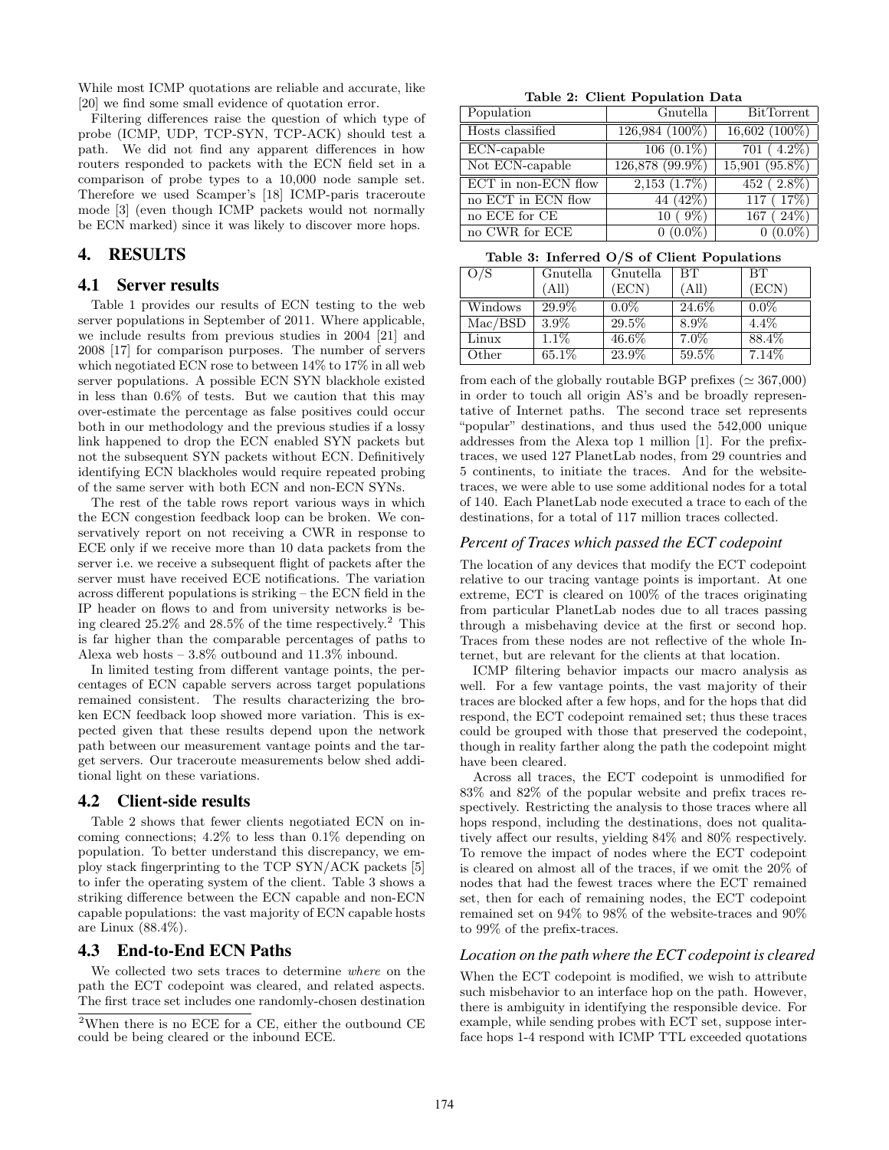While most ICMP quotations are reliable and accurate, like [20] we find some small evidence of quotation error.

Filtering differences raise the question of which type of probe (ICMP, UDP, TCP-SYN, TCP-ACK) should test a path. We did not find any apparent differences in how routers responded to packets with the ECN field set in a comparison of probe types to a 10,000 node sample set. Therefore we used Scamper's [18] ICMP-paris traceroute mode [3] (even though ICMP packets would not normally be ECN marked) since it was likely to discover more hops.

## **4. RESULTS**

#### **4.1 Server results**

Table 1 provides our results of ECN testing to the web server populations in September of 2011. Where applicable, we include results from previous studies in 2004 [21] and 2008 [17] for comparison purposes. The number of servers which negotiated ECN rose to between 14% to 17% in all web server populations. A possible ECN SYN blackhole existed in less than 0.6% of tests. But we caution that this may over-estimate the percentage as false positives could occur both in our methodology and the previous studies if a lossy link happened to drop the ECN enabled SYN packets but not the subsequent SYN packets without ECN. Definitively identifying ECN blackholes would require repeated probing of the same server with both ECN and non-ECN SYNs.

The rest of the table rows report various ways in which the ECN congestion feedback loop can be broken. We conservatively report on not receiving a CWR in response to ECE only if we receive more than 10 data packets from the server i.e. we receive a subsequent flight of packets after the server must have received ECE notifications. The variation across different populations is striking – the ECN field in the IP header on flows to and from university networks is being cleared  $25.2\%$  and  $28.5\%$  of the time respectively.<sup>2</sup> This is far higher than the comparable percentages of paths to Alexa web hosts – 3.8% outbound and 11.3% inbound.

In limited testing from different vantage points, the percentages of ECN capable servers across target populations remained consistent. The results characterizing the broken ECN feedback loop showed more variation. This is expected given that these results depend upon the network path between our measurement vantage points and the target servers. Our traceroute measurements below shed additional light on these variations.

#### **4.2 Client-side results**

Table 2 shows that fewer clients negotiated ECN on incoming connections; 4.2% to less than 0.1% depending on population. To better understand this discrepancy, we employ stack fingerprinting to the TCP SYN/ACK packets [5] to infer the operating system of the client. Table 3 shows a striking difference between the ECN capable and non-ECN capable populations: the vast majority of ECN capable hosts are Linux (88.4%).

#### **4.3 End-to-End ECN Paths**

We collected two sets traces to determine *where* on the path the ECT codepoint was cleared, and related aspects. The first trace set includes one randomly-chosen destination

**Table 2: Client Population Data**

| Population          | Gnutella        | <b>BitTorrent</b> |  |  |  |
|---------------------|-----------------|-------------------|--|--|--|
| Hosts classified    | 126,984 (100%)  | $16,602(100\%)$   |  |  |  |
| ECN-capable         | $106(0.1\%)$    | $701(4.2\%)$      |  |  |  |
| Not ECN-capable     | 126,878 (99.9%) | $15,901(95.8\%)$  |  |  |  |
| ECT in non-ECN flow | $2,153(1.7\%)$  | $452(2.8\%)$      |  |  |  |
| no ECT in ECN flow  | 44 (42\%)       | 117(17%)          |  |  |  |
| no ECE for CE       | $10(9\%)$       | 167(24%)          |  |  |  |
| no CWR for ECE      | $0(0.0\%)$      | $0(0.0\%)$        |  |  |  |

**Table 3: Inferred O/S of Client Populations**

| O/S     | Gnutella | Gnutella | BT      | <b>BT</b> |
|---------|----------|----------|---------|-----------|
|         | 'All)    | (ECN)    | (All)   | (ECN)     |
| Windows | 29.9%    | $0.0\%$  | 24.6%   | $0.0\%$   |
| Mac/BSD | 3.9%     | 29.5%    | 8.9%    | $4.4\%$   |
| Linux   | $1.1\%$  | 46.6%    | $7.0\%$ | 88.4%     |
| Other   | 65.1%    | 23.9%    | 59.5%   | 7.14%     |

from each of the globally routable BGP prefixes ( $\simeq 367,000$ ) in order to touch all origin AS's and be broadly representative of Internet paths. The second trace set represents "popular" destinations, and thus used the 542,000 unique addresses from the Alexa top 1 million [1]. For the prefixtraces, we used 127 PlanetLab nodes, from 29 countries and 5 continents, to initiate the traces. And for the websitetraces, we were able to use some additional nodes for a total of 140. Each PlanetLab node executed a trace to each of the destinations, for a total of 117 million traces collected.

#### *Percent of Traces which passed the ECT codepoint*

The location of any devices that modify the ECT codepoint relative to our tracing vantage points is important. At one extreme, ECT is cleared on 100% of the traces originating from particular PlanetLab nodes due to all traces passing through a misbehaving device at the first or second hop. Traces from these nodes are not reflective of the whole Internet, but are relevant for the clients at that location.

ICMP filtering behavior impacts our macro analysis as well. For a few vantage points, the vast majority of their traces are blocked after a few hops, and for the hops that did respond, the ECT codepoint remained set; thus these traces could be grouped with those that preserved the codepoint, though in reality farther along the path the codepoint might have been cleared.

Across all traces, the ECT codepoint is unmodified for 83% and 82% of the popular website and prefix traces respectively. Restricting the analysis to those traces where all hops respond, including the destinations, does not qualitatively affect our results, yielding 84% and 80% respectively. To remove the impact of nodes where the ECT codepoint is cleared on almost all of the traces, if we omit the 20% of nodes that had the fewest traces where the ECT remained set, then for each of remaining nodes, the ECT codepoint remained set on 94% to 98% of the website-traces and 90% to 99% of the prefix-traces.

#### *Location on the path where the ECT codepoint is cleared*

When the ECT codepoint is modified, we wish to attribute such misbehavior to an interface hop on the path. However, there is ambiguity in identifying the responsible device. For example, while sending probes with ECT set, suppose interface hops 1-4 respond with ICMP TTL exceeded quotations

<sup>&</sup>lt;sup>2</sup>When there is no ECE for a CE, either the outbound CE could be being cleared or the inbound ECE.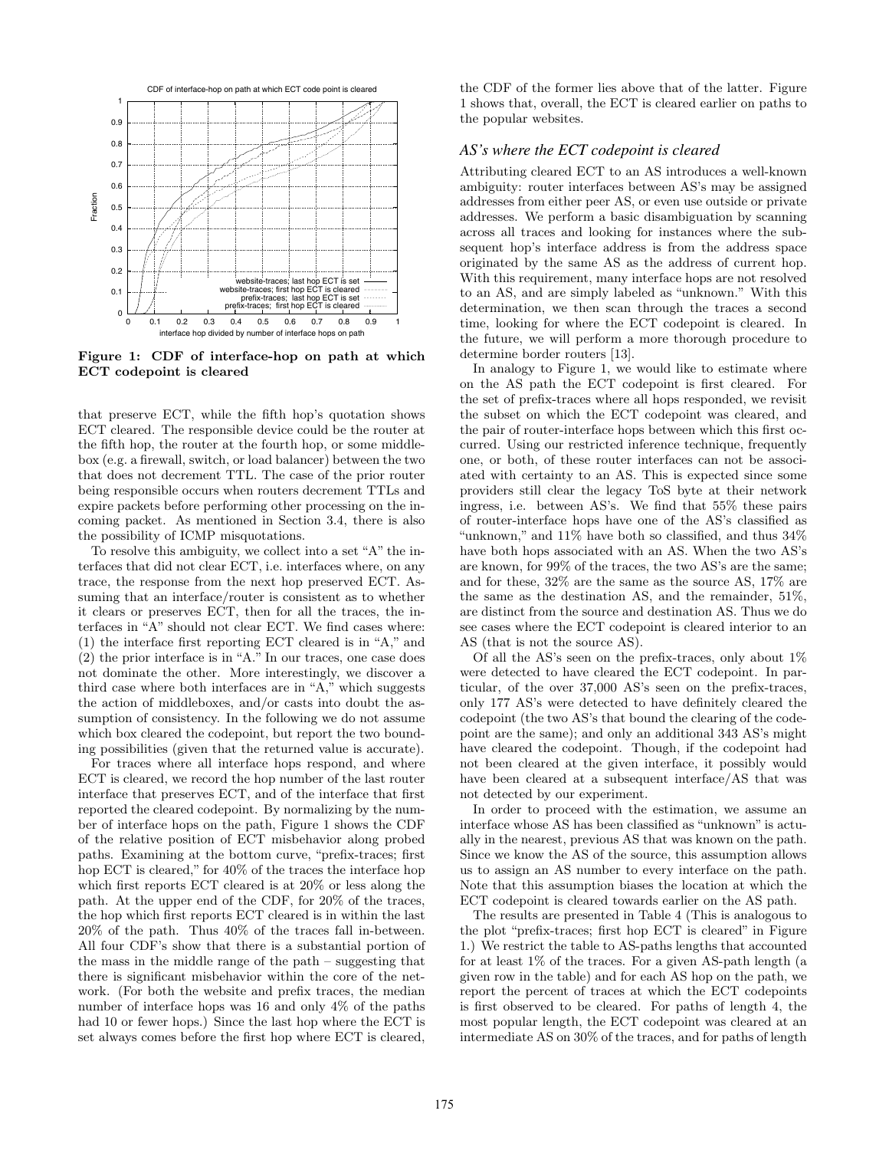

**Figure 1: CDF of interface-hop on path at which ECT codepoint is cleared**

that preserve ECT, while the fifth hop's quotation shows ECT cleared. The responsible device could be the router at the fifth hop, the router at the fourth hop, or some middlebox (e.g. a firewall, switch, or load balancer) between the two that does not decrement TTL. The case of the prior router being responsible occurs when routers decrement TTLs and expire packets before performing other processing on the incoming packet. As mentioned in Section 3.4, there is also the possibility of ICMP misquotations.

To resolve this ambiguity, we collect into a set "A" the interfaces that did not clear ECT, i.e. interfaces where, on any trace, the response from the next hop preserved ECT. Assuming that an interface/router is consistent as to whether it clears or preserves ECT, then for all the traces, the interfaces in "A" should not clear ECT. We find cases where: (1) the interface first reporting ECT cleared is in "A," and (2) the prior interface is in "A." In our traces, one case does not dominate the other. More interestingly, we discover a third case where both interfaces are in "A," which suggests the action of middleboxes, and/or casts into doubt the assumption of consistency. In the following we do not assume which box cleared the codepoint, but report the two bounding possibilities (given that the returned value is accurate).

For traces where all interface hops respond, and where ECT is cleared, we record the hop number of the last router interface that preserves ECT, and of the interface that first reported the cleared codepoint. By normalizing by the number of interface hops on the path, Figure 1 shows the CDF of the relative position of ECT misbehavior along probed paths. Examining at the bottom curve, "prefix-traces; first hop ECT is cleared," for 40% of the traces the interface hop which first reports ECT cleared is at 20% or less along the path. At the upper end of the CDF, for 20% of the traces, the hop which first reports ECT cleared is in within the last 20% of the path. Thus 40% of the traces fall in-between. All four CDF's show that there is a substantial portion of the mass in the middle range of the path – suggesting that there is significant misbehavior within the core of the network. (For both the website and prefix traces, the median number of interface hops was 16 and only 4% of the paths had 10 or fewer hops.) Since the last hop where the ECT is set always comes before the first hop where ECT is cleared,

the CDF of the former lies above that of the latter. Figure 1 shows that, overall, the ECT is cleared earlier on paths to the popular websites.

#### *AS's where the ECT codepoint is cleared*

Attributing cleared ECT to an AS introduces a well-known ambiguity: router interfaces between AS's may be assigned addresses from either peer AS, or even use outside or private addresses. We perform a basic disambiguation by scanning across all traces and looking for instances where the subsequent hop's interface address is from the address space originated by the same AS as the address of current hop. With this requirement, many interface hops are not resolved to an AS, and are simply labeled as "unknown." With this determination, we then scan through the traces a second time, looking for where the ECT codepoint is cleared. In the future, we will perform a more thorough procedure to determine border routers [13].

In analogy to Figure 1, we would like to estimate where on the AS path the ECT codepoint is first cleared. For the set of prefix-traces where all hops responded, we revisit the subset on which the ECT codepoint was cleared, and the pair of router-interface hops between which this first occurred. Using our restricted inference technique, frequently one, or both, of these router interfaces can not be associated with certainty to an AS. This is expected since some providers still clear the legacy ToS byte at their network ingress, i.e. between AS's. We find that 55% these pairs of router-interface hops have one of the AS's classified as "unknown," and 11% have both so classified, and thus 34% have both hops associated with an AS. When the two AS's are known, for 99% of the traces, the two AS's are the same; and for these, 32% are the same as the source AS, 17% are the same as the destination AS, and the remainder, 51%, are distinct from the source and destination AS. Thus we do see cases where the ECT codepoint is cleared interior to an AS (that is not the source AS).

Of all the AS's seen on the prefix-traces, only about 1% were detected to have cleared the ECT codepoint. In particular, of the over 37,000 AS's seen on the prefix-traces, only 177 AS's were detected to have definitely cleared the codepoint (the two AS's that bound the clearing of the codepoint are the same); and only an additional 343 AS's might have cleared the codepoint. Though, if the codepoint had not been cleared at the given interface, it possibly would have been cleared at a subsequent interface/AS that was not detected by our experiment.

In order to proceed with the estimation, we assume an interface whose AS has been classified as "unknown" is actually in the nearest, previous AS that was known on the path. Since we know the AS of the source, this assumption allows us to assign an AS number to every interface on the path. Note that this assumption biases the location at which the ECT codepoint is cleared towards earlier on the AS path.

The results are presented in Table 4 (This is analogous to the plot "prefix-traces; first hop ECT is cleared" in Figure 1.) We restrict the table to AS-paths lengths that accounted for at least 1% of the traces. For a given AS-path length (a given row in the table) and for each AS hop on the path, we report the percent of traces at which the ECT codepoints is first observed to be cleared. For paths of length 4, the most popular length, the ECT codepoint was cleared at an intermediate AS on 30% of the traces, and for paths of length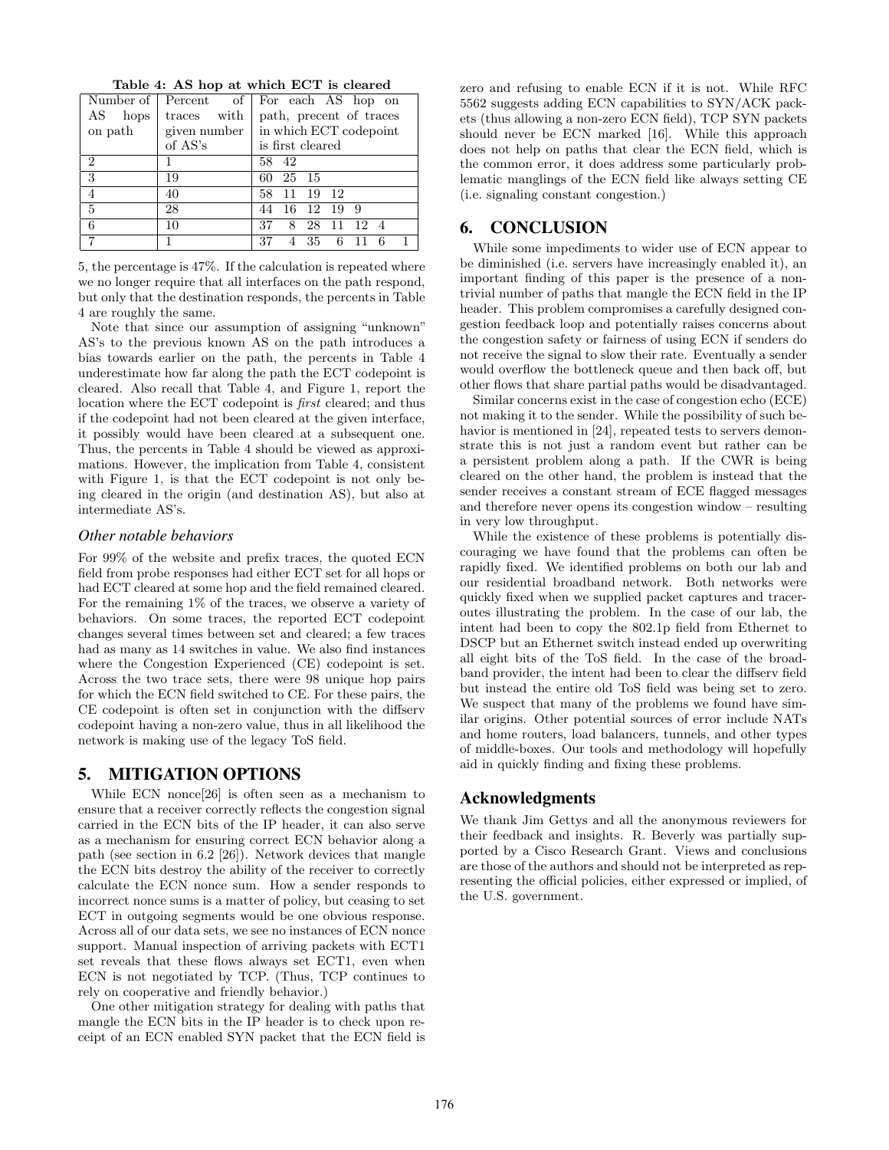**Table 4: AS hop at which ECT is cleared**

|                |              | Number of $\lceil$ Percent of $\lceil$ For each AS hop on |
|----------------|--------------|-----------------------------------------------------------|
| AS<br>hops     | traces with  | path, precent of traces                                   |
| on path        | given number | in which ECT codepoint                                    |
|                | of AS's      | is first cleared                                          |
| $\overline{2}$ |              | 58 42                                                     |
| $\overline{3}$ | 19           | 60 25 15                                                  |
| $\overline{4}$ | 40           | 11 19 12<br>58                                            |
| 5              | 28           | 16 12 19 9<br>44                                          |
| 6              | 10           | 28 11<br>12.4<br>37<br>8                                  |
|                |              | 37<br>35 6 11<br>6                                        |

5, the percentage is 47%. If the calculation is repeated where we no longer require that all interfaces on the path respond, but only that the destination responds, the percents in Table 4 are roughly the same.

Note that since our assumption of assigning "unknown" AS's to the previous known AS on the path introduces a bias towards earlier on the path, the percents in Table 4 underestimate how far along the path the ECT codepoint is cleared. Also recall that Table 4, and Figure 1, report the location where the ECT codepoint is *first* cleared; and thus if the codepoint had not been cleared at the given interface, it possibly would have been cleared at a subsequent one. Thus, the percents in Table 4 should be viewed as approximations. However, the implication from Table 4, consistent with Figure 1, is that the ECT codepoint is not only being cleared in the origin (and destination AS), but also at intermediate AS's.

#### *Other notable behaviors*

For 99% of the website and prefix traces, the quoted ECN field from probe responses had either ECT set for all hops or had ECT cleared at some hop and the field remained cleared. For the remaining 1% of the traces, we observe a variety of behaviors. On some traces, the reported ECT codepoint changes several times between set and cleared; a few traces had as many as 14 switches in value. We also find instances where the Congestion Experienced (CE) codepoint is set. Across the two trace sets, there were 98 unique hop pairs for which the ECN field switched to CE. For these pairs, the CE codepoint is often set in conjunction with the diffserv codepoint having a non-zero value, thus in all likelihood the network is making use of the legacy ToS field.

## **5. MITIGATION OPTIONS**

While ECN nonce[26] is often seen as a mechanism to ensure that a receiver correctly reflects the congestion signal carried in the ECN bits of the IP header, it can also serve as a mechanism for ensuring correct ECN behavior along a path (see section in 6.2 [26]). Network devices that mangle the ECN bits destroy the ability of the receiver to correctly calculate the ECN nonce sum. How a sender responds to incorrect nonce sums is a matter of policy, but ceasing to set ECT in outgoing segments would be one obvious response. Across all of our data sets, we see no instances of ECN nonce support. Manual inspection of arriving packets with ECT1 set reveals that these flows always set ECT1, even when ECN is not negotiated by TCP. (Thus, TCP continues to rely on cooperative and friendly behavior.)

One other mitigation strategy for dealing with paths that mangle the ECN bits in the IP header is to check upon receipt of an ECN enabled SYN packet that the ECN field is zero and refusing to enable ECN if it is not. While RFC 5562 suggests adding ECN capabilities to SYN/ACK packets (thus allowing a non-zero ECN field), TCP SYN packets should never be ECN marked [16]. While this approach does not help on paths that clear the ECN field, which is the common error, it does address some particularly problematic manglings of the ECN field like always setting CE (i.e. signaling constant congestion.)

## **6. CONCLUSION**

While some impediments to wider use of ECN appear to be diminished (i.e. servers have increasingly enabled it), an important finding of this paper is the presence of a nontrivial number of paths that mangle the ECN field in the IP header. This problem compromises a carefully designed congestion feedback loop and potentially raises concerns about the congestion safety or fairness of using ECN if senders do not receive the signal to slow their rate. Eventually a sender would overflow the bottleneck queue and then back off, but other flows that share partial paths would be disadvantaged.

Similar concerns exist in the case of congestion echo (ECE) not making it to the sender. While the possibility of such behavior is mentioned in [24], repeated tests to servers demonstrate this is not just a random event but rather can be a persistent problem along a path. If the CWR is being cleared on the other hand, the problem is instead that the sender receives a constant stream of ECE flagged messages and therefore never opens its congestion window – resulting in very low throughput.

While the existence of these problems is potentially discouraging we have found that the problems can often be rapidly fixed. We identified problems on both our lab and our residential broadband network. Both networks were quickly fixed when we supplied packet captures and traceroutes illustrating the problem. In the case of our lab, the intent had been to copy the 802.1p field from Ethernet to DSCP but an Ethernet switch instead ended up overwriting all eight bits of the ToS field. In the case of the broadband provider, the intent had been to clear the diffserv field but instead the entire old ToS field was being set to zero. We suspect that many of the problems we found have similar origins. Other potential sources of error include NATs and home routers, load balancers, tunnels, and other types of middle-boxes. Our tools and methodology will hopefully aid in quickly finding and fixing these problems.

## **Acknowledgments**

We thank Jim Gettys and all the anonymous reviewers for their feedback and insights. R. Beverly was partially supported by a Cisco Research Grant. Views and conclusions are those of the authors and should not be interpreted as representing the official policies, either expressed or implied, of the U.S. government.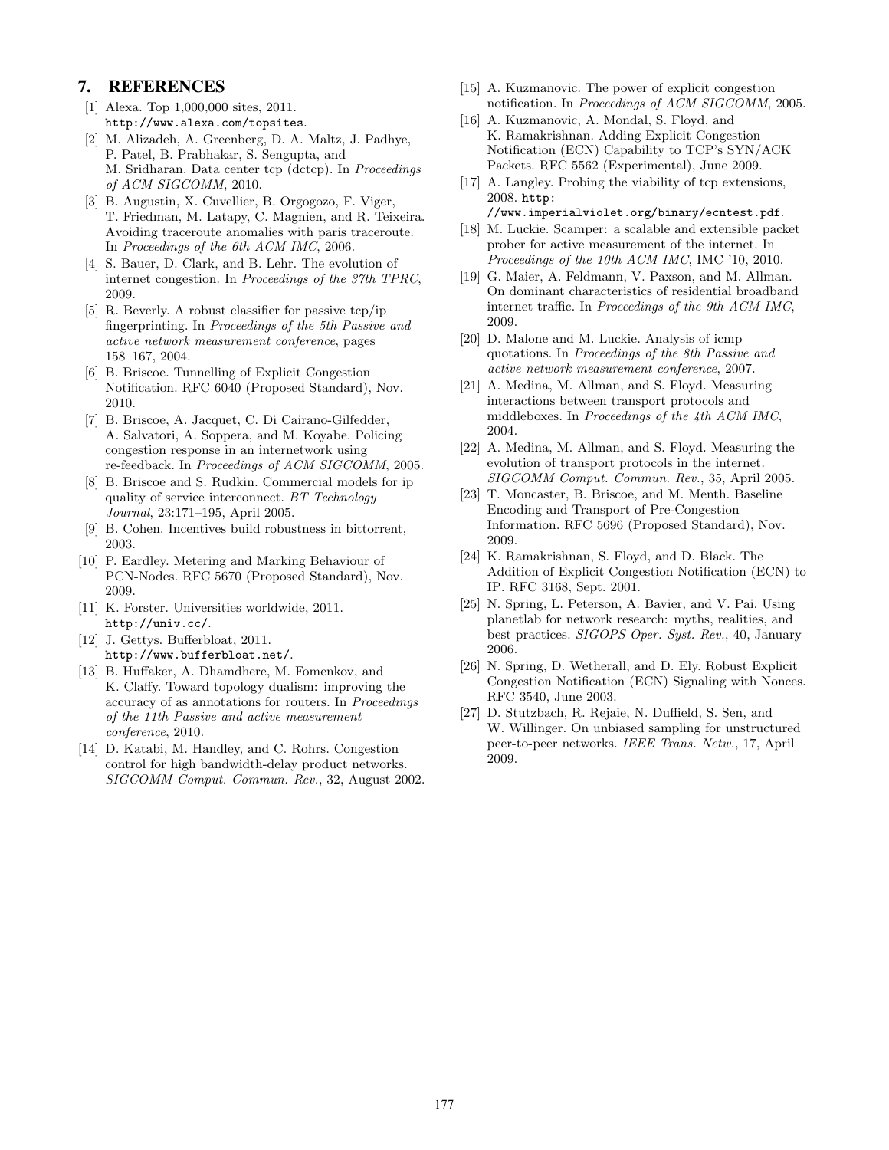### **7. REFERENCES**

- [1] Alexa. Top 1,000,000 sites, 2011. http://www.alexa.com/topsites.
- [2] M. Alizadeh, A. Greenberg, D. A. Maltz, J. Padhye, P. Patel, B. Prabhakar, S. Sengupta, and M. Sridharan. Data center tcp (dctcp). In *Proceedings of ACM SIGCOMM*, 2010.
- [3] B. Augustin, X. Cuvellier, B. Orgogozo, F. Viger, T. Friedman, M. Latapy, C. Magnien, and R. Teixeira. Avoiding traceroute anomalies with paris traceroute. In *Proceedings of the 6th ACM IMC*, 2006.
- [4] S. Bauer, D. Clark, and B. Lehr. The evolution of internet congestion. In *Proceedings of the 37th TPRC*, 2009.
- [5] R. Beverly. A robust classifier for passive tcp/ip fingerprinting. In *Proceedings of the 5th Passive and active network measurement conference*, pages 158–167, 2004.
- [6] B. Briscoe. Tunnelling of Explicit Congestion Notification. RFC 6040 (Proposed Standard), Nov. 2010.
- [7] B. Briscoe, A. Jacquet, C. Di Cairano-Gilfedder, A. Salvatori, A. Soppera, and M. Koyabe. Policing congestion response in an internetwork using re-feedback. In *Proceedings of ACM SIGCOMM*, 2005.
- [8] B. Briscoe and S. Rudkin. Commercial models for ip quality of service interconnect. *BT Technology Journal*, 23:171–195, April 2005.
- [9] B. Cohen. Incentives build robustness in bittorrent, 2003.
- [10] P. Eardley. Metering and Marking Behaviour of PCN-Nodes. RFC 5670 (Proposed Standard), Nov. 2009.
- [11] K. Forster. Universities worldwide, 2011. http://univ.cc/.
- [12] J. Gettys. Bufferbloat, 2011. http://www.bufferbloat.net/.
- [13] B. Huffaker, A. Dhamdhere, M. Fomenkov, and K. Claffy. Toward topology dualism: improving the accuracy of as annotations for routers. In *Proceedings of the 11th Passive and active measurement conference*, 2010.
- [14] D. Katabi, M. Handley, and C. Rohrs. Congestion control for high bandwidth-delay product networks. *SIGCOMM Comput. Commun. Rev.*, 32, August 2002.
- [15] A. Kuzmanovic. The power of explicit congestion notification. In *Proceedings of ACM SIGCOMM*, 2005.
- [16] A. Kuzmanovic, A. Mondal, S. Floyd, and K. Ramakrishnan. Adding Explicit Congestion Notification (ECN) Capability to TCP's SYN/ACK Packets. RFC 5562 (Experimental), June 2009.
- [17] A. Langley. Probing the viability of tcp extensions, 2008. http:
- //www.imperialviolet.org/binary/ecntest.pdf. [18] M. Luckie. Scamper: a scalable and extensible packet prober for active measurement of the internet. In *Proceedings of the 10th ACM IMC*, IMC '10, 2010.
- [19] G. Maier, A. Feldmann, V. Paxson, and M. Allman. On dominant characteristics of residential broadband internet traffic. In *Proceedings of the 9th ACM IMC*, 2009.
- [20] D. Malone and M. Luckie. Analysis of icmp quotations. In *Proceedings of the 8th Passive and active network measurement conference*, 2007.
- [21] A. Medina, M. Allman, and S. Floyd. Measuring interactions between transport protocols and middleboxes. In *Proceedings of the 4th ACM IMC*, 2004.
- [22] A. Medina, M. Allman, and S. Floyd. Measuring the evolution of transport protocols in the internet. *SIGCOMM Comput. Commun. Rev.*, 35, April 2005.
- [23] T. Moncaster, B. Briscoe, and M. Menth. Baseline Encoding and Transport of Pre-Congestion Information. RFC 5696 (Proposed Standard), Nov. 2009.
- [24] K. Ramakrishnan, S. Floyd, and D. Black. The Addition of Explicit Congestion Notification (ECN) to IP. RFC 3168, Sept. 2001.
- [25] N. Spring, L. Peterson, A. Bavier, and V. Pai. Using planetlab for network research: myths, realities, and best practices. *SIGOPS Oper. Syst. Rev.*, 40, January 2006.
- [26] N. Spring, D. Wetherall, and D. Ely. Robust Explicit Congestion Notification (ECN) Signaling with Nonces. RFC 3540, June 2003.
- [27] D. Stutzbach, R. Rejaie, N. Duffield, S. Sen, and W. Willinger. On unbiased sampling for unstructured peer-to-peer networks. *IEEE Trans. Netw.*, 17, April 2009.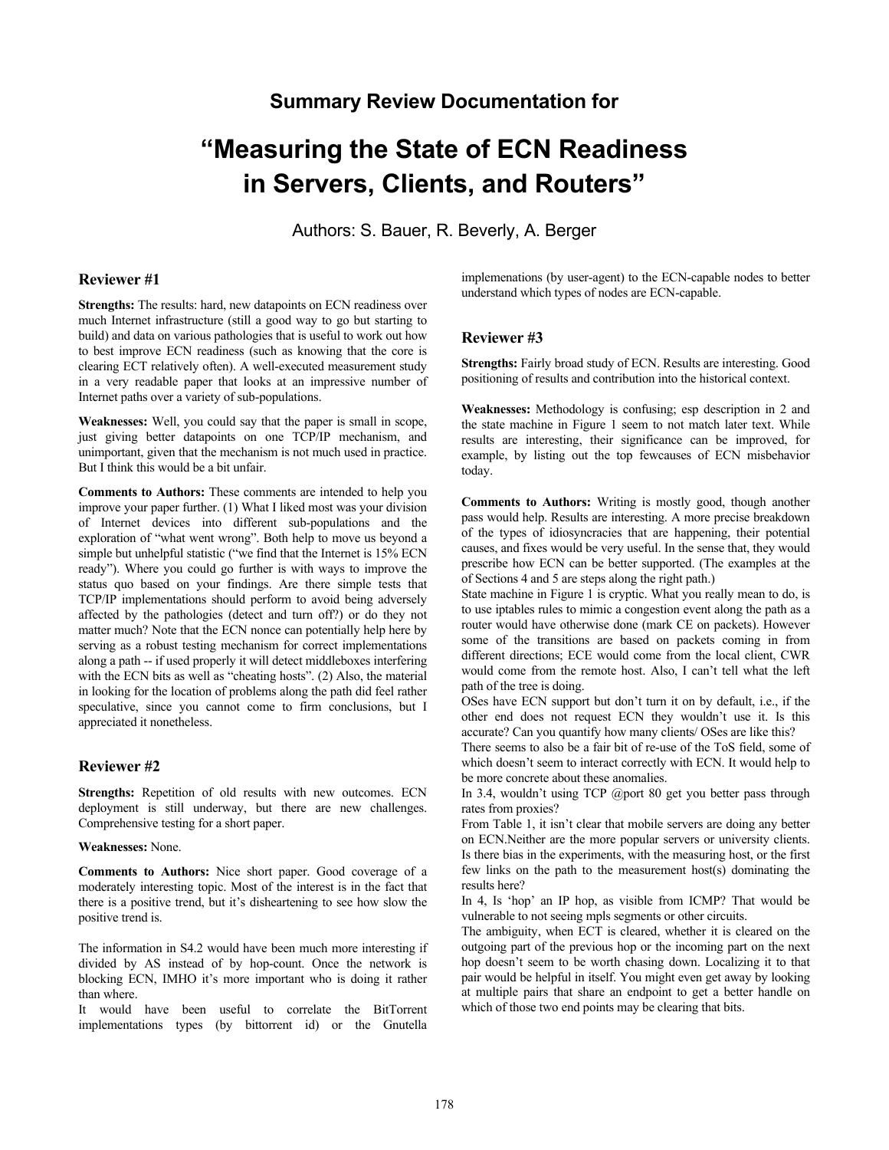## **Summary Review Documentation for**

# **"Measuring the State of ECN Readiness in Servers, Clients, and Routers"**

Authors: S. Bauer, R. Beverly, A. Berger

## **Reviewer #1**

**Strengths:** The results: hard, new datapoints on ECN readiness over much Internet infrastructure (still a good way to go but starting to build) and data on various pathologies that is useful to work out how to best improve ECN readiness (such as knowing that the core is clearing ECT relatively often). A well-executed measurement study in a very readable paper that looks at an impressive number of Internet paths over a variety of sub-populations.

**Weaknesses:** Well, you could say that the paper is small in scope, just giving better datapoints on one TCP/IP mechanism, and unimportant, given that the mechanism is not much used in practice. But I think this would be a bit unfair.

**Comments to Authors:** These comments are intended to help you improve your paper further. (1) What I liked most was your division of Internet devices into different sub-populations and the exploration of "what went wrong". Both help to move us beyond a simple but unhelpful statistic ("we find that the Internet is 15% ECN ready"). Where you could go further is with ways to improve the status quo based on your findings. Are there simple tests that TCP/IP implementations should perform to avoid being adversely affected by the pathologies (detect and turn off?) or do they not matter much? Note that the ECN nonce can potentially help here by serving as a robust testing mechanism for correct implementations along a path -- if used properly it will detect middleboxes interfering with the ECN bits as well as "cheating hosts". (2) Also, the material in looking for the location of problems along the path did feel rather speculative, since you cannot come to firm conclusions, but I appreciated it nonetheless.

## **Reviewer #2**

**Strengths:** Repetition of old results with new outcomes. ECN deployment is still underway, but there are new challenges. Comprehensive testing for a short paper.

#### **Weaknesses:** None.

**Comments to Authors:** Nice short paper. Good coverage of a moderately interesting topic. Most of the interest is in the fact that there is a positive trend, but it's disheartening to see how slow the positive trend is.

The information in S4.2 would have been much more interesting if divided by AS instead of by hop-count. Once the network is blocking ECN, IMHO it's more important who is doing it rather than where.

It would have been useful to correlate the BitTorrent implementations types (by bittorrent id) or the Gnutella implemenations (by user-agent) to the ECN-capable nodes to better understand which types of nodes are ECN-capable.

## **Reviewer #3**

**Strengths:** Fairly broad study of ECN. Results are interesting. Good positioning of results and contribution into the historical context.

**Weaknesses:** Methodology is confusing; esp description in 2 and the state machine in Figure 1 seem to not match later text. While results are interesting, their significance can be improved, for example, by listing out the top fewcauses of ECN misbehavior today.

**Comments to Authors:** Writing is mostly good, though another pass would help. Results are interesting. A more precise breakdown of the types of idiosyncracies that are happening, their potential causes, and fixes would be very useful. In the sense that, they would prescribe how ECN can be better supported. (The examples at the of Sections 4 and 5 are steps along the right path.)

State machine in Figure 1 is cryptic. What you really mean to do, is to use iptables rules to mimic a congestion event along the path as a router would have otherwise done (mark CE on packets). However some of the transitions are based on packets coming in from different directions; ECE would come from the local client, CWR would come from the remote host. Also, I can't tell what the left path of the tree is doing.

OSes have ECN support but don't turn it on by default, i.e., if the other end does not request ECN they wouldn't use it. Is this accurate? Can you quantify how many clients/ OSes are like this?

There seems to also be a fair bit of re-use of the ToS field, some of which doesn't seem to interact correctly with ECN. It would help to be more concrete about these anomalies.

In 3.4, wouldn't using TCP @port 80 get you better pass through rates from proxies?

From Table 1, it isn't clear that mobile servers are doing any better on ECN.Neither are the more popular servers or university clients. Is there bias in the experiments, with the measuring host, or the first few links on the path to the measurement host(s) dominating the results here?

In 4, Is 'hop' an IP hop, as visible from ICMP? That would be vulnerable to not seeing mpls segments or other circuits.

The ambiguity, when ECT is cleared, whether it is cleared on the outgoing part of the previous hop or the incoming part on the next hop doesn't seem to be worth chasing down. Localizing it to that pair would be helpful in itself. You might even get away by looking at multiple pairs that share an endpoint to get a better handle on which of those two end points may be clearing that bits.